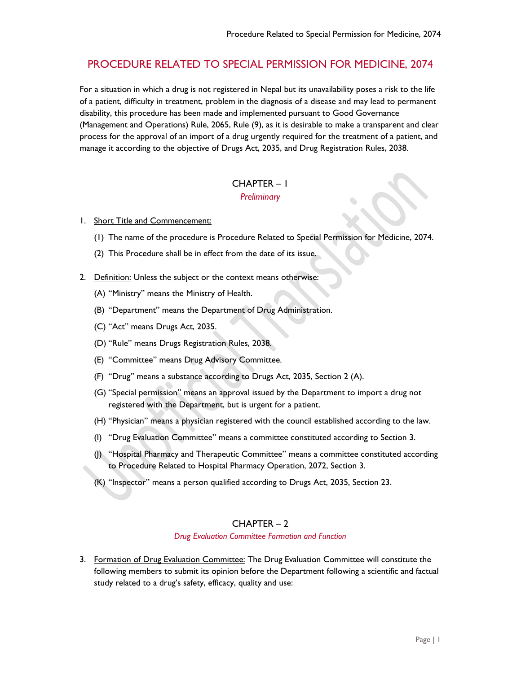# PROCEDURE RELATED TO SPECIAL PERMISSION FOR MEDICINE, 2074

For a situation in which a drug is not registered in Nepal but its unavailability poses a risk to the life of a patient, difficulty in treatment, problem in the diagnosis of a disease and may lead to permanent disability, this procedure has been made and implemented pursuant to Good Governance (Management and Operations) Rule, 2065, Rule (9), as it is desirable to make a transparent and clear process for the approval of an import of a drug urgently required for the treatment of a patient, and manage it according to the objective of Drugs Act, 2035, and Drug Registration Rules, 2038.

## CHAPTER – 1 *Preliminary*

- 1. Short Title and Commencement:
	- (1) The name of the procedure is Procedure Related to Special Permission for Medicine, 2074.
	- (2) This Procedure shall be in effect from the date of its issue.
- 2. Definition: Unless the subject or the context means otherwise:
	- (A) "Ministry" means the Ministry of Health.
	- (B) "Department" means the Department of Drug Administration.
	- (C) "Act" means Drugs Act, 2035.
	- (D) "Rule" means Drugs Registration Rules, 2038.
	- (E) "Committee" means Drug Advisory Committee.
	- (F) "Drug" means a substance according to Drugs Act, 2035, Section 2 (A).
	- (G) "Special permission" means an approval issued by the Department to import a drug not registered with the Department, but is urgent for a patient.
	- (H) "Physician" means a physician registered with the council established according to the law.
	- (I) "Drug Evaluation Committee" means a committee constituted according to Section 3.
	- (J) "Hospital Pharmacy and Therapeutic Committee" means a committee constituted according to Procedure Related to Hospital Pharmacy Operation, 2072, Section 3.
	- (K) "Inspector" means a person qualified according to Drugs Act, 2035, Section 23.

## CHAPTER – 2

#### *Drug Evaluation Committee Formation and Function*

3. Formation of Drug Evaluation Committee: The Drug Evaluation Committee will constitute the following members to submit its opinion before the Department following a scientific and factual study related to a drug's safety, efficacy, quality and use: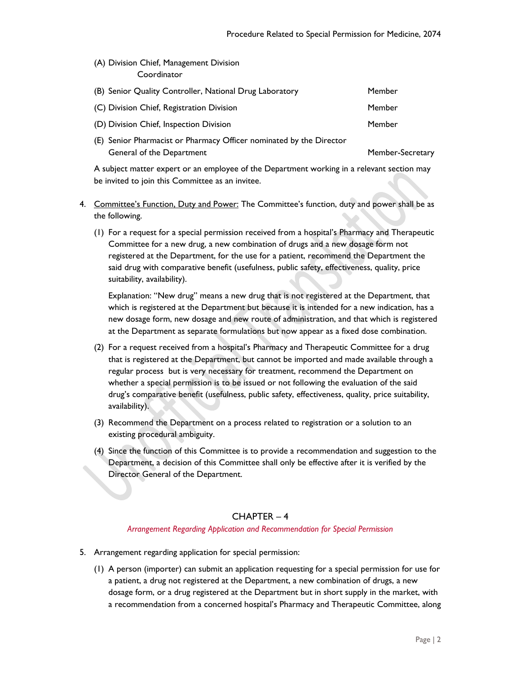(A) Division Chief, Management Division **Coordinator** 

| (B) Senior Quality Controller, National Drug Laboratory             | Member           |
|---------------------------------------------------------------------|------------------|
| (C) Division Chief, Registration Division                           | Member           |
| (D) Division Chief, Inspection Division                             | Member           |
| (E) Senior Pharmacist or Pharmacy Officer nominated by the Director |                  |
| General of the Department                                           | Member-Secretary |

A subject matter expert or an employee of the Department working in a relevant section may be invited to join this Committee as an invitee.

- 4. Committee's Function, Duty and Power: The Committee's function, duty and power shall be as the following.
	- (1) For a request for a special permission received from a hospital's Pharmacy and Therapeutic Committee for a new drug, a new combination of drugs and a new dosage form not registered at the Department, for the use for a patient, recommend the Department the said drug with comparative benefit (usefulness, public safety, effectiveness, quality, price suitability, availability).

Explanation: "New drug" means a new drug that is not registered at the Department, that which is registered at the Department but because it is intended for a new indication, has a new dosage form, new dosage and new route of administration, and that which is registered at the Department as separate formulations but now appear as a fixed dose combination.

- (2) For a request received from a hospital's Pharmacy and Therapeutic Committee for a drug that is registered at the Department, but cannot be imported and made available through a regular process but is very necessary for treatment, recommend the Department on whether a special permission is to be issued or not following the evaluation of the said drug's comparative benefit (usefulness, public safety, effectiveness, quality, price suitability, availability).
- (3) Recommend the Department on a process related to registration or a solution to an existing procedural ambiguity.
- (4) Since the function of this Committee is to provide a recommendation and suggestion to the Department, a decision of this Committee shall only be effective after it is verified by the Director General of the Department.

### CHAPTER – 4

### *Arrangement Regarding Application and Recommendation for Special Permission*

- 5. Arrangement regarding application for special permission:
	- (1) A person (importer) can submit an application requesting for a special permission for use for a patient, a drug not registered at the Department, a new combination of drugs, a new dosage form, or a drug registered at the Department but in short supply in the market, with a recommendation from a concerned hospital's Pharmacy and Therapeutic Committee, along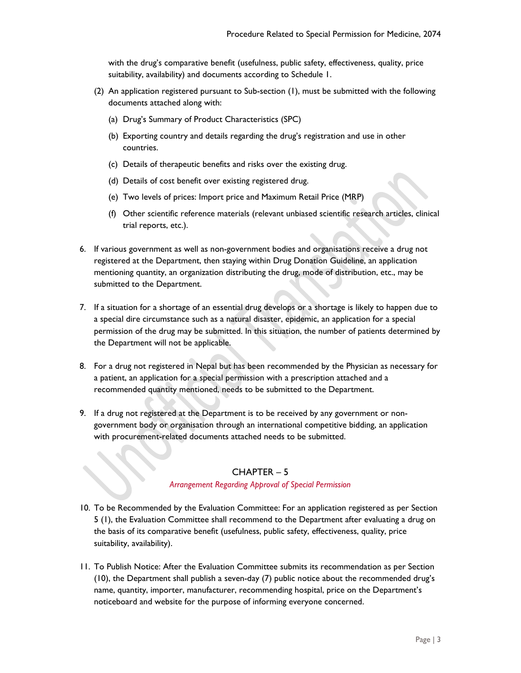with the drug's comparative benefit (usefulness, public safety, effectiveness, quality, price suitability, availability) and documents according to Schedule 1.

- (2) An application registered pursuant to Sub-section (1), must be submitted with the following documents attached along with:
	- (a) Drug's Summary of Product Characteristics (SPC)
	- (b) Exporting country and details regarding the drug's registration and use in other countries.
	- (c) Details of therapeutic benefits and risks over the existing drug.
	- (d) Details of cost benefit over existing registered drug.
	- (e) Two levels of prices: Import price and Maximum Retail Price (MRP)
	- (f) Other scientific reference materials (relevant unbiased scientific research articles, clinical trial reports, etc.).
- 6. If various government as well as non-government bodies and organisations receive a drug not registered at the Department, then staying within Drug Donation Guideline, an application mentioning quantity, an organization distributing the drug, mode of distribution, etc., may be submitted to the Department.
- 7. If a situation for a shortage of an essential drug develops or a shortage is likely to happen due to a special dire circumstance such as a natural disaster, epidemic, an application for a special permission of the drug may be submitted. In this situation, the number of patients determined by the Department will not be applicable.
- 8. For a drug not registered in Nepal but has been recommended by the Physician as necessary for a patient, an application for a special permission with a prescription attached and a recommended quantity mentioned, needs to be submitted to the Department.
- 9. If a drug not registered at the Department is to be received by any government or nongovernment body or organisation through an international competitive bidding, an application with procurement-related documents attached needs to be submitted.

## CHAPTER – 5

### *Arrangement Regarding Approval of Special Permission*

- 10. To be Recommended by the Evaluation Committee: For an application registered as per Section 5 (1), the Evaluation Committee shall recommend to the Department after evaluating a drug on the basis of its comparative benefit (usefulness, public safety, effectiveness, quality, price suitability, availability).
- 11. To Publish Notice: After the Evaluation Committee submits its recommendation as per Section (10), the Department shall publish a seven-day (7) public notice about the recommended drug's name, quantity, importer, manufacturer, recommending hospital, price on the Department's noticeboard and website for the purpose of informing everyone concerned.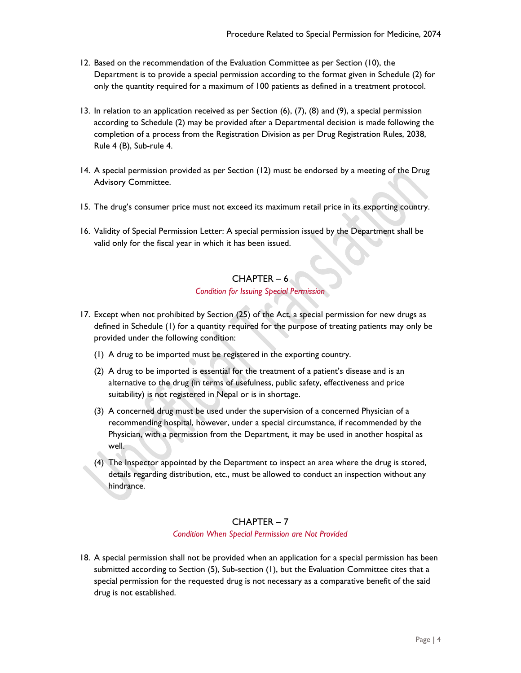- 12. Based on the recommendation of the Evaluation Committee as per Section (10), the Department is to provide a special permission according to the format given in Schedule (2) for only the quantity required for a maximum of 100 patients as defined in a treatment protocol.
- 13. In relation to an application received as per Section (6), (7), (8) and (9), a special permission according to Schedule (2) may be provided after a Departmental decision is made following the completion of a process from the Registration Division as per Drug Registration Rules, 2038, Rule 4 (B), Sub-rule 4.
- 14. A special permission provided as per Section (12) must be endorsed by a meeting of the Drug Advisory Committee.
- 15. The drug's consumer price must not exceed its maximum retail price in its exporting country.
- 16. Validity of Special Permission Letter: A special permission issued by the Department shall be valid only for the fiscal year in which it has been issued.

# CHAPTER – 6

## *Condition for Issuing Special Permission*

- 17. Except when not prohibited by Section (25) of the Act, a special permission for new drugs as defined in Schedule (1) for a quantity required for the purpose of treating patients may only be provided under the following condition:
	- (1) A drug to be imported must be registered in the exporting country.
	- (2) A drug to be imported is essential for the treatment of a patient's disease and is an alternative to the drug (in terms of usefulness, public safety, effectiveness and price suitability) is not registered in Nepal or is in shortage.
	- (3) A concerned drug must be used under the supervision of a concerned Physician of a recommending hospital, however, under a special circumstance, if recommended by the Physician, with a permission from the Department, it may be used in another hospital as well.
	- (4) The Inspector appointed by the Department to inspect an area where the drug is stored, details regarding distribution, etc., must be allowed to conduct an inspection without any hindrance.

## CHAPTER – 7

### *Condition When Special Permission are Not Provided*

18. A special permission shall not be provided when an application for a special permission has been submitted according to Section (5), Sub-section (1), but the Evaluation Committee cites that a special permission for the requested drug is not necessary as a comparative benefit of the said drug is not established.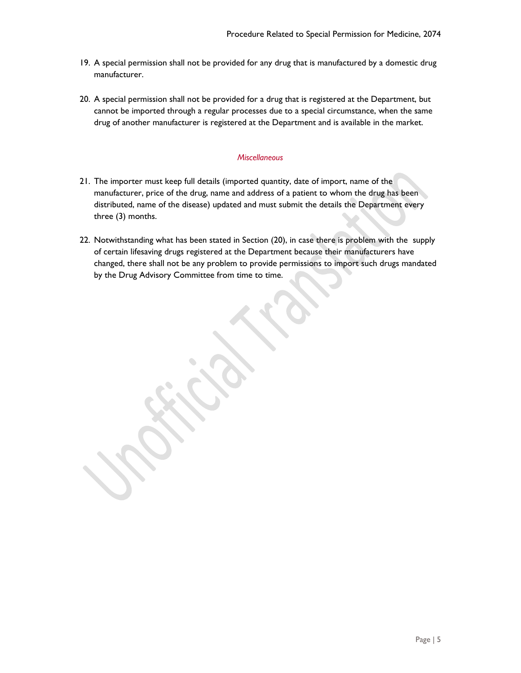- 19. A special permission shall not be provided for any drug that is manufactured by a domestic drug manufacturer.
- 20. A special permission shall not be provided for a drug that is registered at the Department, but cannot be imported through a regular processes due to a special circumstance, when the same drug of another manufacturer is registered at the Department and is available in the market.

### *Miscellaneous*

- 21. The importer must keep full details (imported quantity, date of import, name of the manufacturer, price of the drug, name and address of a patient to whom the drug has been distributed, name of the disease) updated and must submit the details the Department every three (3) months.
- 22. Notwithstanding what has been stated in Section (20), in case there is problem with the supply of certain lifesaving drugs registered at the Department because their manufacturers have changed, there shall not be any problem to provide permissions to import such drugs mandated by the Drug Advisory Committee from time to time.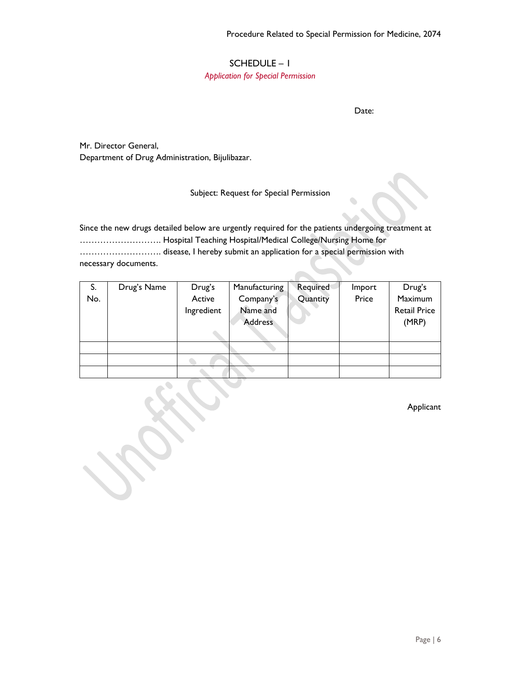╲

## SCHEDULE – 1

*Application for Special Permission* 

Date:

Mr. Director General, Department of Drug Administration, Bijulibazar.

## Subject: Request for Special Permission

Since the new drugs detailed below are urgently required for the patients undergoing treatment at ………………………. Hospital Teaching Hospital/Medical College/Nursing Home for ………………………. disease, I hereby submit an application for a special permission with necessary documents.

| S.  | Drug's Name | Drug's     | Manufacturing  | Required | Import | Drug's              |
|-----|-------------|------------|----------------|----------|--------|---------------------|
| No. |             | Active     | Company's      | Quantity | Price  | Maximum             |
|     |             | Ingredient | Name and       |          |        | <b>Retail Price</b> |
|     |             |            | <b>Address</b> |          |        | (MRP)               |
|     |             |            |                |          |        |                     |
|     |             |            |                |          |        |                     |
|     |             |            |                |          |        |                     |
|     |             |            |                |          |        |                     |

Applicant